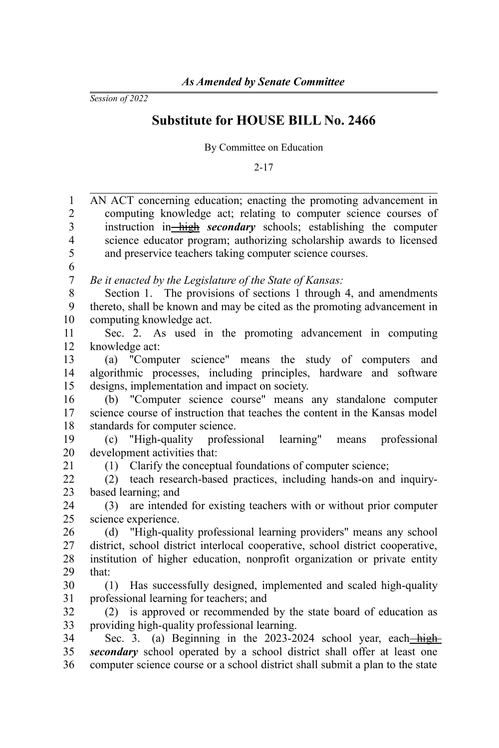*Session of 2022*

## **Substitute for HOUSE BILL No. 2466**

By Committee on Education

2-17

| $\mathbf{1}$            | AN ACT concerning education; enacting the promoting advancement in             |
|-------------------------|--------------------------------------------------------------------------------|
| $\overline{2}$          | computing knowledge act; relating to computer science courses of               |
| 3                       | instruction in—high secondary schools; establishing the computer               |
| $\overline{\mathbf{4}}$ | science educator program; authorizing scholarship awards to licensed           |
| 5                       | and preservice teachers taking computer science courses.                       |
| 6                       |                                                                                |
| 7                       | Be it enacted by the Legislature of the State of Kansas:                       |
| 8                       | Section 1. The provisions of sections 1 through 4, and amendments              |
| 9                       | thereto, shall be known and may be cited as the promoting advancement in       |
| 10                      | computing knowledge act.                                                       |
| 11                      | Sec. 2. As used in the promoting advancement in computing                      |
| 12                      | knowledge act:                                                                 |
| 13                      | (a) "Computer science" means the study of computers and                        |
| 14                      | algorithmic processes, including principles, hardware and software             |
| 15                      | designs, implementation and impact on society.                                 |
| 16                      | (b) "Computer science course" means any standalone computer                    |
| 17                      | science course of instruction that teaches the content in the Kansas model     |
| 18                      | standards for computer science.                                                |
| 19                      | "High-quality professional learning"<br>professional<br>(c)<br>means           |
| 20                      | development activities that:                                                   |
| 21                      | (1) Clarify the conceptual foundations of computer science;                    |
| 22                      | teach research-based practices, including hands-on and inquiry-<br>(2)         |
| 23                      | based learning; and                                                            |
| 24                      | are intended for existing teachers with or without prior computer<br>(3)       |
| 25                      | science experience.                                                            |
| 26                      | "High-quality professional learning providers" means any school<br>(d)         |
| 27                      | district, school district interlocal cooperative, school district cooperative, |
| 28                      | institution of higher education, nonprofit organization or private entity      |
| 29                      | that:                                                                          |
| 30                      | Has successfully designed, implemented and scaled high-quality<br>(1)          |
| 31                      | professional learning for teachers; and                                        |
| 32                      | is approved or recommended by the state board of education as<br>(2)           |
| 33                      | providing high-quality professional learning.                                  |
| 34                      | Sec. 3. (a) Beginning in the 2023-2024 school year, each-high-                 |
| 35                      | secondary school operated by a school district shall offer at least one        |
| 36                      | computer science course or a school district shall submit a plan to the state  |
|                         |                                                                                |
|                         |                                                                                |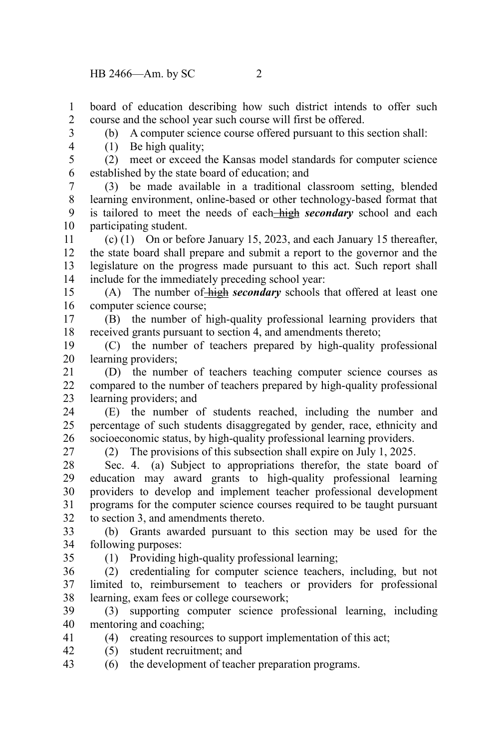(1) Be high quality;

board of education describing how such district intends to offer such course and the school year such course will first be offered. 1 2

(b) A computer science course offered pursuant to this section shall:

3 4

(2) meet or exceed the Kansas model standards for computer science established by the state board of education; and 5 6

(3) be made available in a traditional classroom setting, blended learning environment, online-based or other technology-based format that is tailored to meet the needs of each high *secondary* school and each participating student. 7 8 9 10

(c) (1) On or before January 15, 2023, and each January 15 thereafter, the state board shall prepare and submit a report to the governor and the legislature on the progress made pursuant to this act. Such report shall include for the immediately preceding school year: 11 12 13 14

(A) The number of high *secondary* schools that offered at least one computer science course; 15 16

(B) the number of high-quality professional learning providers that received grants pursuant to section 4, and amendments thereto; 17 18

(C) the number of teachers prepared by high-quality professional learning providers; 19 20

(D) the number of teachers teaching computer science courses as compared to the number of teachers prepared by high-quality professional learning providers; and 21  $22$ 23

(E) the number of students reached, including the number and percentage of such students disaggregated by gender, race, ethnicity and socioeconomic status, by high-quality professional learning providers. 24 25 26

27

(2) The provisions of this subsection shall expire on July 1, 2025.

Sec. 4. (a) Subject to appropriations therefor, the state board of education may award grants to high-quality professional learning providers to develop and implement teacher professional development programs for the computer science courses required to be taught pursuant to section 3, and amendments thereto. 28 29 30 31 32

(b) Grants awarded pursuant to this section may be used for the following purposes: 33 34

35

(1) Providing high-quality professional learning;

(2) credentialing for computer science teachers, including, but not limited to, reimbursement to teachers or providers for professional learning, exam fees or college coursework; 36 37 38

(3) supporting computer science professional learning, including mentoring and coaching; 39 40

(4) creating resources to support implementation of this act; 41

- (5) student recruitment; and 42
- (6) the development of teacher preparation programs. 43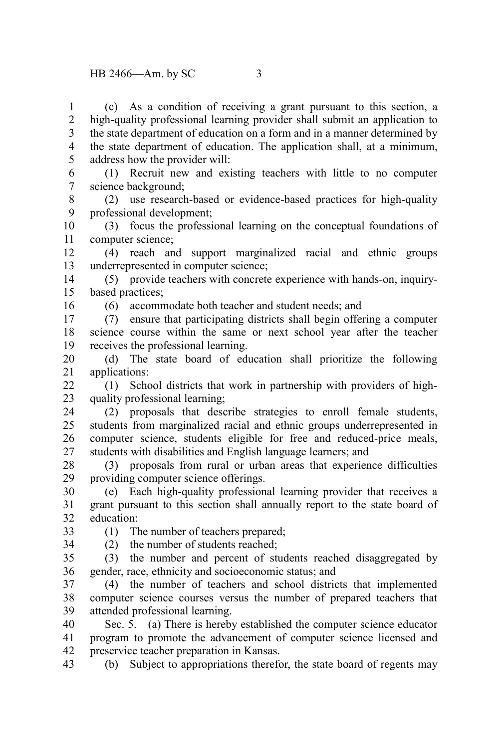(c) As a condition of receiving a grant pursuant to this section, a high-quality professional learning provider shall submit an application to the state department of education on a form and in a manner determined by the state department of education. The application shall, at a minimum, address how the provider will: 1 2 3 4 5

(1) Recruit new and existing teachers with little to no computer science background; 6 7

(2) use research-based or evidence-based practices for high-quality professional development; 8 9

(3) focus the professional learning on the conceptual foundations of computer science; 10 11

(4) reach and support marginalized racial and ethnic groups underrepresented in computer science; 12 13

(5) provide teachers with concrete experience with hands-on, inquirybased practices; 14 15

16

(6) accommodate both teacher and student needs; and

(7) ensure that participating districts shall begin offering a computer science course within the same or next school year after the teacher receives the professional learning. 17 18 19

(d) The state board of education shall prioritize the following applications: 20 21

(1) School districts that work in partnership with providers of highquality professional learning;  $22$ 23

(2) proposals that describe strategies to enroll female students, students from marginalized racial and ethnic groups underrepresented in computer science, students eligible for free and reduced-price meals, students with disabilities and English language learners; and 24 25 26 27

(3) proposals from rural or urban areas that experience difficulties providing computer science offerings. 28 29

(e) Each high-quality professional learning provider that receives a grant pursuant to this section shall annually report to the state board of education: 30 31 32

33 34 (1) The number of teachers prepared;

(2) the number of students reached;

(3) the number and percent of students reached disaggregated by gender, race, ethnicity and socioeconomic status; and 35 36

(4) the number of teachers and school districts that implemented computer science courses versus the number of prepared teachers that attended professional learning. 37 38 39

Sec. 5. (a) There is hereby established the computer science educator program to promote the advancement of computer science licensed and preservice teacher preparation in Kansas. 40 41 42

(b) Subject to appropriations therefor, the state board of regents may 43